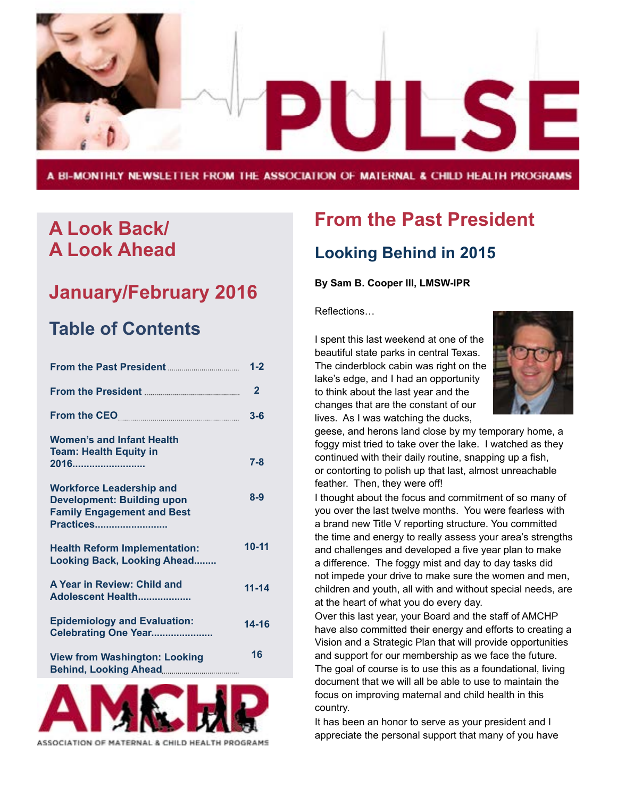

A BI-MONTHLY NEWSLETTER FROM THE ASSOCIATION OF MATERNAL & CHILD HEALTH PROGRAMS

## **A Look Back/ A Look Ahead**

## **January/February 2016**

## **Table of Contents**

|                                                                                                                               | $1 - 2$      |
|-------------------------------------------------------------------------------------------------------------------------------|--------------|
|                                                                                                                               | $\mathbf{2}$ |
|                                                                                                                               | $3 - 6$      |
| <b>Women's and Infant Health</b><br><b>Team: Health Equity in</b><br>2016                                                     | $7 - 8$      |
| <b>Workforce Leadership and</b><br><b>Development: Building upon</b><br><b>Family Engagement and Best</b><br><b>Practices</b> | $8 - 9$      |
| <b>Health Reform Implementation:</b><br><b>Looking Back, Looking Ahead</b>                                                    | 10-11        |
| A Year in Review: Child and<br>Adolescent Health                                                                              | $11 - 14$    |
| <b>Epidemiology and Evaluation:</b><br>Celebrating One Year                                                                   | $14 - 16$    |
| <b>View from Washington: Looking</b>                                                                                          | 16           |
|                                                                                                                               |              |



ASSOCIATION OF MATERNAL & CHILD HEALTH PROGRAMS

## **From the Past President Looking Behind in 2015**

#### **By Sam B. Cooper III, LMSW-IPR**

Reflections…

I spent this last weekend at one of the beautiful state parks in central Texas. The cinderblock cabin was right on the lake's edge, and I had an opportunity to think about the last year and the changes that are the constant of our lives. As I was watching the ducks,



geese, and herons land close by my temporary home, a foggy mist tried to take over the lake. I watched as they continued with their daily routine, snapping up a fish, or contorting to polish up that last, almost unreachable feather. Then, they were off!

I thought about the focus and commitment of so many of you over the last twelve months. You were fearless with a brand new Title V reporting structure. You committed the time and energy to really assess your area's strengths and challenges and developed a five year plan to make a difference. The foggy mist and day to day tasks did not impede your drive to make sure the women and men, children and youth, all with and without special needs, are at the heart of what you do every day.

Over this last year, your Board and the staff of AMCHP have also committed their energy and efforts to creating a Vision and a Strategic Plan that will provide opportunities and support for our membership as we face the future. The goal of course is to use this as a foundational, living document that we will all be able to use to maintain the focus on improving maternal and child health in this country.

It has been an honor to serve as your president and I appreciate the personal support that many of you have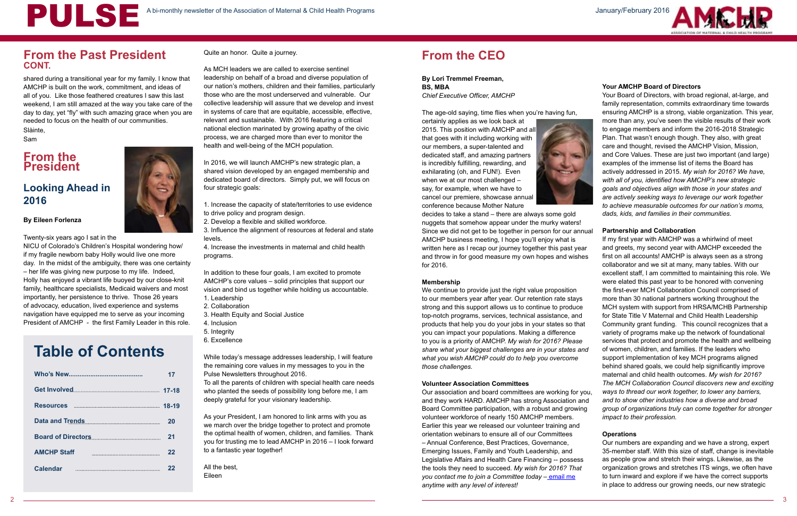## **From the President**

shared during a transitional year for my family. I know that AMCHP is built on the work, commitment, and ideas of all of you. Like those feathered creatures I saw this last weekend, I am still amazed at the way you take care of the day to day, yet "fly" with such amazing grace when you are needed to focus on the health of our communities. Slàinte,

Sam

## **Looking Ahead in 2016**

#### **By Eileen Forlenza**

Twenty-six years ago I sat in the

NICU of Colorado's Children's Hospital wondering how/ if my fragile newborn baby Holly would live one more day. In the midst of the ambiguity, there was one certainty – her life was giving new purpose to my life. Indeed, Holly has enjoyed a vibrant life buoyed by our close-knit family, healthcare specialists, Medicaid waivers and most importantly, her persistence to thrive. Those 26 years of advocacy, education, lived experience and systems navigation have equipped me to serve as your incoming President of AMCHP - the first Family Leader in this role.

Quite an honor. Quite a journey.

As MCH leaders we are called to exercise sentinel leadership on behalf of a broad and diverse population of our nation's mothers, children and their families, particularly those who are the most underserved and vulnerable. Our collective leadership will assure that we develop and invest in systems of care that are equitable, accessible, effective, relevant and sustainable. With 2016 featuring a critical national election marinated by growing apathy of the civic process, we are charged more than ever to monitor the health and well-being of the MCH population.

In 2016, we will launch AMCHP's new strategic plan, a shared vision developed by an engaged membership and dedicated board of directors. Simply put, we will focus on four strategic goals:

- 1. Increase the capacity of state/territories to use evidence to drive policy and program design.
- 2. Develop a flexible and skilled workforce.
- 3. Influence the alignment of resources at federal and state levels.

4. Increase the investments in maternal and child health programs.

In addition to these four goals, I am excited to promote AMCHP's core values – solid principles that support our vision and bind us together while holding us accountable.

- 1. Leadership
- 2. Collaboration
- 3. Health Equity and Social Justice
- 4. Inclusion
- 5. Integrity
- 6. Excellence

While today's message addresses leadership, I will feature the remaining core values in my messages to you in the Pulse Newsletters throughout 2016.

To all the parents of children with special health care needs who planted the seeds of possibility long before me, I am deeply grateful for your visionary leadership.

As your President, I am honored to link arms with you as we march over the bridge together to protect and promote the optimal health of women, children, and families. Thank you for trusting me to lead AMCHP in 2016 – I look forward to a fantastic year together!

All the best, Eileen

## **From the CEO**

**By Lori Tremmel Freeman, BS, MBA**  *Chief Executive Officer, AMCHP*

The age-old saying, time flies when you're having fun,

certainly applies as we look back at 2015. This position with AMCHP and all that goes with it including working with our members, a super-talented and dedicated staff, and amazing partners is incredibly fulfilling, rewarding, and exhilarating (oh, and FUN!). Even when we at our most challenged – say, for example, when we have to cancel our premiere, showcase annual conference because Mother Nature



decides to take a stand – there are always some gold nuggets that somehow appear under the murky waters! Since we did not get to be together in person for our annual

#### **Volunteer Association Committees**





AMCHP business meeting, I hope you'll enjoy what is written here as I recap our journey together this past year and throw in for good measure my own hopes and wishes for 2016. **Membership** We continue to provide just the right value proposition to our members year after year. Our retention rate stays strong and this support allows us to continue to produce top-notch programs, services, technical assistance, and products that help you do your jobs in your states so that you can impact your populations. Making a difference to you is a priority of AMCHP. *My wish for 2016? Please share what your biggest challenges are in your states and what you wish AMCHP could do to help you overcome those challenges.* If my first year with AMCHP was a whirlwind of meet and greets, my second year with AMCHP exceeded the first on all accounts! AMCHP is always seen as a strong collaborator and we sit at many, many tables. With our excellent staff, I am committed to maintaining this role. We were elated this past year to be honored with convening the first-ever MCH Collaboration Council comprised of more than 30 national partners working throughout the MCH system with support from HRSA/MCHB Partnership for State Title V Maternal and Child Health Leadership Community grant funding. This council recognizes that a variety of programs make up the network of foundational services that protect and promote the health and wellbeing of women, children, and families. If the leaders who support implementation of key MCH programs aligned behind shared goals, we could help significantly improve

Your Board of Directors, with broad regional, at-large, and family representation, commits extraordinary time towards ensuring AMCHP is a strong, viable organization. This year, more than any, you've seen the visible results of their work to engage members and inform the 2016-2018 Strategic Plan. That wasn't enough though. They also, with great care and thought, revised the AMCHP Vision, Mission, and Core Values. These are just two important (and large) examples of the immense list of items the Board has actively addressed in 2015. *My wish for 2016? We have, with all of you, identified how AMCHP's new strategic goals and objectives align with those in your states and are actively seeking ways to leverage our work together to achieve measurable outcomes for our nation's moms, dads, kids, and families in their communities.* 

#### **Partnership and Collaboration**

Our association and board committees are working for you, and they work HARD. AMCHP has strong Association and Board Committee participation, with a robust and growing volunteer workforce of nearly 150 AMCHP members. Earlier this year we released our volunteer training and orientation webinars to ensure all of our Committees – Annual Conference, Best Practices, Governance, Emerging Issues, Family and Youth Leadership, and Legislative Affairs and Health Care Financing -- possess the tools they need to succeed. *My wish for 2016? That you contact me to join a Committee today –* [email me](mailto:lfreeman%40amchp.org?subject=) *anytime with any level of interest! ways to thread our work together, to lower any barriers, and to show other industries how a diverse and broad group of organizations truly can come together for stronger impact to their profession.* **Operations** Our numbers are expanding and we have a strong, expert 35-member staff. With this size of staff, change is inevitable as people grow and stretch their wings. Likewise, as the organization grows and stretches ITS wings, we often have to turn inward and explore if we have the correct supports in place to address our growing needs, our new strategic



maternal and child health outcomes. *My wish for 2016? The MCH Collaboration Council discovers new and exciting* 

## **Table of Contents**

|                    | 17 |
|--------------------|----|
|                    |    |
|                    |    |
| Data and Trends    | 20 |
|                    | 21 |
| <b>AMCHP Staff</b> | 22 |
| <b>Calendar</b>    | 22 |

## A bi-monthly newsletter of the Association of Maternal & Child Health Programs January/February 2016

## **From the Past President CONT.**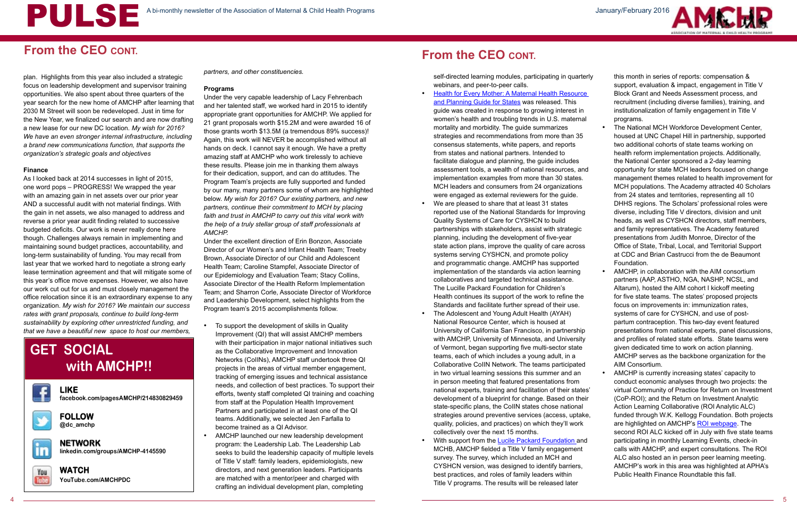## **From the CEO CONT.**

plan. Highlights from this year also included a strategic focus on leadership development and supervisor training opportunities. We also spent about three quarters of the year search for the new home of AMCHP after learning that 2030 M Street will soon be redeveloped. Just in time for the New Year, we finalized our search and are now drafting a new lease for our new DC location. *My wish for 2016? We have an even stronger internal infrastructure, including a brand new communications function, that supports the organization's strategic goals and objectives*

#### **Finance**

As I looked back at 2014 successes in light of 2015, one word pops – PROGRESS! We wrapped the year with an amazing gain in net assets over our prior year AND a successful audit with not material findings. With the gain in net assets, we also managed to address and reverse a prior year audit finding related to successive budgeted deficits. Our work is never really done here though. Challenges always remain in implementing and maintaining sound budget practices, accountability, and long-term sustainability of funding. You may recall from last year that we worked hard to negotiate a strong early lease termination agreement and that will mitigate some of this year's office move expenses. However, we also have our work cut out for us and must closely management the office relocation since it is an extraordinary expense to any organization. *My wish for 2016? We maintain our success rates with grant proposals, continue to build long-term sustainability by exploring other unrestricted funding, and that we have a beautiful new space to host our members,* 

*partners, and other constituencies.*

#### **Programs**

Under the very capable leadership of Lacy Fehrenbach and her talented staff, we worked hard in 2015 to identify appropriate grant opportunities for AMCHP. We applied for 21 grant proposals worth \$15.2M and were awarded 16 of those grants worth \$13.5M (a tremendous 89% success)! Again, this work will NEVER be accomplished without all hands on deck. I cannot say it enough. We have a pretty amazing staff at AMCHP who work tirelessly to achieve these results. Please join me in thanking them always for their dedication, support, and can do attitudes. The Program Team's projects are fully supported and funded by our many, many partners some of whom are highlighted below. *My wish for 2016? Our existing partners, and new partners, continue their commitment to MCH by placing faith and trust in AMCHP to carry out this vital work with the help of a truly stellar group of staff professionals at AMCHP.*

Under the excellent direction of Erin Bonzon, Associate Director of our Women's and Infant Health Team; Treeby Brown, Associate Director of our Child and Adolescent Health Team; Caroline Stampfel, Associate Director of our Epidemiology and Evaluation Team; Stacy Collins, Associate Director of the Health Reform Implementation Team; and Sharron Corle, Associate Director of Workforce and Leadership Development, select highlights from the Program team's 2015 accomplishments follow.

- **Health for Every Mother: A Maternal Health Resource** [and Planning Guide for States](http://www.amchp.org/programsandtopics/womens-health/Focus%20Areas/MaternalMortality/Pages/default.aspx) was released. This guide was created in response to growing interest in women's health and troubling trends in U.S. maternal mortality and morbidity. The guide summarizes strategies and recommendations from more than 35 consensus statements, white papers, and reports from states and national partners. Intended to facilitate dialogue and planning, the guide includes assessment tools, a wealth of national resources, and implementation examples from more than 30 states. MCH leaders and consumers from 24 organizations were engaged as external reviewers for the guide.
- We are pleased to share that at least 31 states reported use of the National Standards for Improving Quality Systems of Care for CYSHCN to build partnerships with stakeholders, assist with strategic planning, including the development of five-year state action plans, improve the quality of care across systems serving CYSHCN, and promote policy and programmatic change. AMCHP has supported implementation of the standards via action learning collaboratives and targeted technical assistance. The Lucille Packard Foundation for Children's Health continues its support of the work to refine the Standards and facilitate further spread of their use.
- The Adolescent and Young Adult Health (AYAH) National Resource Center, which is housed at University of California San Francisco, in partnership with AMCHP, University of Minnesota, and University of Vermont, began supporting five multi-sector state teams, each of which includes a young adult, in a Collaborative CoIIN Network. The teams participated in two virtual learning sessions this summer and an in person meeting that featured presentations from national experts, training and facilitation of their states' development of a blueprint for change. Based on their state-specific plans, the CoIIN states chose national strategies around preventive services (access, uptake, quality, policies, and practices) on which they'll work collectively over the next 15 months.
- With support from the [Lucile Packard Foundation a](http://www.lpfch.org/)nd MCHB, AMCHP fielded a Title V family engagement survey. The survey, which included an MCH and CYSHCN version, was designed to identify barriers, best practices, and roles of family leaders within Title V programs. The results will be released later



- To support the development of skills in Quality Improvement (QI) that will assist AMCHP members with their participation in major national initiatives such as the Collaborative Improvement and Innovation Networks (CoIINs), AMCHP staff undertook three QI projects in the areas of virtual member engagement, tracking of emerging issues and technical assistance needs, and collection of best practices. To support their efforts, twenty staff completed QI training and coaching from staff at the Population Health Improvement Partners and participated in at least one of the QI teams. Additionally, we selected Jen Farfalla to become trained as a QI Advisor.
- AMCHP launched our new leadership development program: the Leadership Lab. The Leadership Lab seeks to build the leadership capacity of multiple levels of Title V staff: family leaders, epidemiologists, new directors, and next generation leaders. Participants are matched with a mentor/peer and charged with crafting an individual development plan, completing

self-directed learning modules, participating in quarterly webinars, and peer-to-peer calls.

- this month in series of reports: compensation & support, evaluation & impact, engagement in Title V Block Grant and Needs Assessment process, and recruitment (including diverse families), training, and institutionalization of family engagement in Title V programs.
- The National MCH Workforce Development Center, housed at UNC Chapel Hill in partnership, supported two additional cohorts of state teams working on health reform implementation projects. Additionally, the National Center sponsored a 2-day learning opportunity for state MCH leaders focused on change management themes related to health improvement for MCH populations. The Academy attracted 40 Scholars from 24 states and territories, representing all 10 DHHS regions. The Scholars' professional roles were diverse, including Title V directors, division and unit heads, as well as CYSHCN directors, staff members, and family representatives. The Academy featured presentations from Judith Monroe, Director of the Office of State, Tribal, Local, and Territorial Support at CDC and Brian Castrucci from the de Beaumont Foundation.
- AMCHP, in collaboration with the AIM consortium partners (AAP, ASTHO, NGA, NASHP, NCSL, and Altarum), hosted the AIM cohort I kickoff meeting for five state teams. The states' proposed projects focus on improvements in: immunization rates, systems of care for CYSHCN, and use of postpartum contraception. This two-day event featured presentations from national experts, panel discussions, and profiles of related state efforts. State teams were given dedicated time to work on action planning. AMCHP serves as the backbone organization for the AIM Consortium.
- AMCHP is currently increasing states' capacity to conduct economic analyses through two projects: the virtual Community of Practice for Return on Investment (CoP-ROI); and the Return on Investment Analytic Action Learning Collaborative (ROI Analytic ALC) funded through W.K. Kellogg Foundation. Both projects are highlighted on AMCHP's [ROI webpage.](http://www.amchp.org/programsandtopics/data-assessment/Pages/Return-on-Investment.aspx) The second ROI ALC kicked off in July with five state teams participating in monthly Learning Events, check-in calls with AMCHP, and expert consultations. The ROI ALC also hosted an in person peer learning meeting. AMCHP's work in this area was highlighted at APHA's Public Health Finance Roundtable this fall.

## **GET SOCIAL with AMCHP!!**

f

**LIKE facebook.com/pagesAMCHP/214830829459**

**FOLLOW @dc\_amchp**



**NETWORK linkedin.com/groups/AMCHP-4145590**



**WATCH YouTube.com/AMCHPDC** 

## **From the CEO CONT.**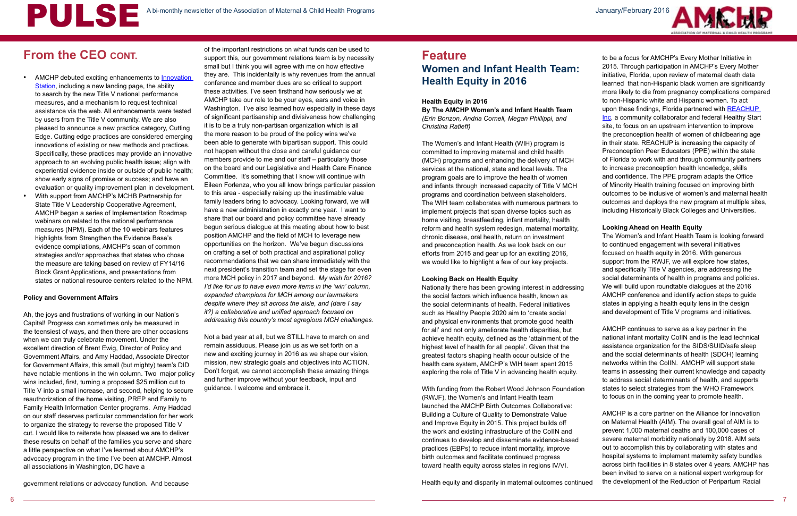

## **Feature Women and Infant Health Team: Health Equity in 2016**

#### **Health Equity in 2016**

**By The AMCHP Women's and Infant Health Team**  *(Erin Bonzon, Andria Cornell, Megan Phillippi, and Christina Ratleff)*

The Women's and Infant Health (WIH) program is committed to improving maternal and child health (MCH) programs and enhancing the delivery of MCH services at the national, state and local levels. The program goals are to improve the health of women and infants through increased capacity of Title V MCH programs and coordination between stakeholders. The WIH team collaborates with numerous partners to implement projects that span diverse topics such as home visiting, breastfeeding, infant mortality, health reform and health system redesign, maternal mortality, chronic disease, oral health, return on investment and preconception health. As we look back on our efforts from 2015 and gear up for an exciting 2016, we would like to highlight a few of our key projects.

#### **Looking Back on Health Equity**

Nationally there has been growing interest in addressing the social factors which influence health, known as the social determinants of health. Federal initiatives such as Healthy People 2020 aim to 'create social and physical environments that promote good health for all' and not only ameliorate health disparities, but achieve health equity, defined as the 'attainment of the highest level of health for all people'. Given that the greatest factors shaping health occur outside of the health care system, AMCHP's WIH team spent 2015 exploring the role of Title V in advancing health equity.

With funding from the Robert Wood Johnson Foundation (RWJF), the Women's and Infant Health team launched the AMCHP Birth Outcomes Collaborative: Building a Culture of Quality to Demonstrate Value and Improve Equity in 2015. This project builds off the work and existing infrastructure of the CoIIN and continues to develop and disseminate evidence-based practices (EBPs) to reduce infant mortality, improve birth outcomes and facilitate continued progress toward health equity across states in regions IV/VI.

Health equity and disparity in maternal outcomes continued

- AMCHP debuted exciting enhancements to Innovation [Station](http://www.amchp.org/programsandtopics/BestPractices/InnovationStation/Pages/Innovation-Station.aspx), including a new landing page, the ability to search by the new Title V national performance measures, and a mechanism to request technical assistance via the web. All enhancements were tested by users from the Title V community. We are also pleased to announce a new practice category, Cutting Edge. Cutting edge practices are considered emerging innovations of existing or new methods and practices. Specifically, these practices may provide an innovative approach to an evolving public health issue; align with experiential evidence inside or outside of public health; show early signs of promise or success; and have an evaluation or quality improvement plan in development.
- With support from AMCHP's MCHB Partnership for State Title V Leadership Cooperative Agreement, AMCHP began a series of Implementation Roadmap webinars on related to the national performance measures (NPM). Each of the 10 webinars features highlights from Strengthen the Evidence Base's evidence compilations, AMCHP's scan of common strategies and/or approaches that states who chose the measure are taking based on review of FY14/16 Block Grant Applications, and presentations from states or national resource centers related to the NPM.

of the important restrictions on what funds can be used to support this, our government relations team is by necessity small but I think you will agree with me on how effective they are. This incidentally is why revenues from the annual conference and member dues are so critical to support these activities. I've seen firsthand how seriously we at AMCHP take our role to be your eyes, ears and voice in Washington. I've also learned how especially in these days of significant partisanship and divisiveness how challenging it is to be a truly non-partisan organization which is all the more reason to be proud of the policy wins we've been able to generate with bipartisan support. This could not happen without the close and careful guidance our members provide to me and our staff – particularly those on the board and our Legislative and Health Care Finance Committee. It's something that I know will continue with Eileen Forlenza, who you all know brings particular passion to this area - especially raising up the inestimable value family leaders bring to advocacy. Looking forward, we will have a new administration in exactly one year. I want to share that our board and policy committee have already begun serious dialogue at this meeting about how to best position AMCHP and the field of MCH to leverage new opportunities on the horizon. We've begun discussions on crafting a set of both practical and aspirational policy recommendations that we can share immediately with the next president's transition team and set the stage for even more MCH policy in 2017 and beyond. *My wish for 2016? I'd like for us to have even more items in the 'win' column, expanded champions for MCH among our lawmakers despite where they sit across the aisle, and (dare I say it?) a collaborative and unified approach focused on addressing this country's most egregious MCH challenges.*

Not a bad year at all, but we STILL have to march on and remain assiduous. Please join us as we set forth on a new and exciting journey in 2016 as we shape our vision, mission, new strategic goals and objectives into ACTION. Don't forget, we cannot accomplish these amazing things and further improve without your feedback, input and guidance. I welcome and embrace it.

#### **Policy and Government Affairs**

Ah, the joys and frustrations of working in our Nation's Capital! Progress can sometimes only be measured in the teensiest of ways, and then there are other occasions when we can truly celebrate movement. Under the excellent direction of Brent Ewig, Director of Policy and Government Affairs, and Amy Haddad, Associate Director for Government Affairs, this small (but mighty) team's DID have notable mentions in the win column. Two major policy wins included, first, turning a proposed \$25 million cut to Title V into a small increase, and second, helping to secure reauthorization of the home visiting, PREP and Family to Family Health Information Center programs. Amy Haddad on our staff deserves particular commendation for her work to organize the strategy to reverse the proposed Title V cut. I would like to reiterate how pleased we are to deliver these results on behalf of the families you serve and share a little perspective on what I've learned about AMCHP's advocacy program in the time I've been at AMCHP. Almost all associations in Washington, DC have a

government relations or advocacy function. And because

to be a focus for AMCHP's Every Mother Initiative in 2015. Through participation in AMCHP's Every Mother initiative, Florida, upon review of maternal death data learned that non-Hispanic black women are significantly more likely to die from pregnancy complications compared to non-Hispanic white and Hispanic women. To act upon these findings, Florida partnered with [REACHUP](http://www.reachupincorporated.org/)  [Inc](http://www.reachupincorporated.org/), a community collaborator and federal Healthy Start site, to focus on an upstream intervention to improve the preconception health of women of childbearing age in their state. REACHUP is increasing the capacity of Preconception Peer Educators (PPE) within the state of Florida to work with and through community partners to increase preconception health knowledge, skills and confidence. The PPE program adapts the Office of Minority Health training focused on improving birth outcomes to be inclusive of women's and maternal health outcomes and deploys the new program at multiple sites, including Historically Black Colleges and Universities.

#### **Looking Ahead on Health Equity**

The Women's and Infant Health Team is looking forward to continued engagement with several initiatives focused on health equity in 2016. With generous support from the RWJF, we will explore how states, and specifically Title V agencies, are addressing the social determinants of health in programs and policies. We will build upon roundtable dialogues at the 2016 AMCHP conference and identify action steps to guide states in applying a health equity lens in the design and development of Title V programs and initiatives.

AMCHP continues to serve as a key partner in the national infant mortality CoIIN and is the lead technical assistance organization for the SIDS/SUID/safe sleep and the social determinants of health (SDOH) learning networks within the CoIIN. AMCHP will support state teams in assessing their current knowledge and capacity to address social determinants of health, and supports states to select strategies from the WHO Framework to focus on in the coming year to promote health.

AMCHP is a core partner on the Alliance for Innovation on Maternal Health (AIM). The overall goal of AIM is to prevent 1,000 maternal deaths and 100,000 cases of severe maternal morbidity nationally by 2018. AIM sets out to accomplish this by collaborating with states and hospital systems to implement maternity safety bundles across birth facilities in 8 states over 4 years. AMCHP has been invited to serve on a national expert workgroup for the development of the Reduction of Peripartum Racial

## **From the CEO CONT.**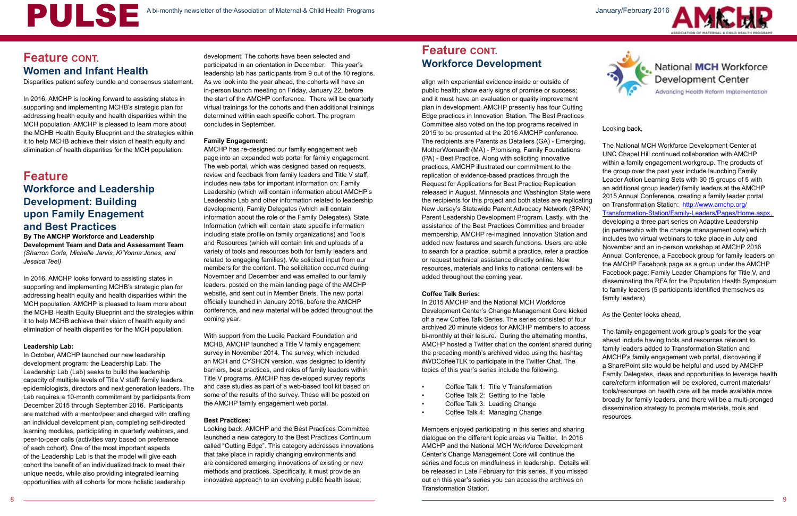Disparities patient safety bundle and consensus statement.

In 2016, AMCHP is looking forward to assisting states in supporting and implementing MCHB's strategic plan for addressing health equity and health disparities within the MCH population. AMCHP is pleased to learn more about the MCHB Health Equity Blueprint and the strategies within it to help MCHB achieve their vision of health equity and elimination of health disparities for the MCH population.

## **Feature Workforce and Leadership Development: Building upon Family Enagement and Best Practices**

**By The AMCHP Workforce and Leadership Development Team and Data and Assessment Team** *(Sharron Corle, Michelle Jarvis, Ki'Yonna Jones, and Jessica Teel)*

In 2016, AMCHP looks forward to assisting states in supporting and implementing MCHB's strategic plan for addressing health equity and health disparities within the MCH population. AMCHP is pleased to learn more about the MCHB Health Equity Blueprint and the strategies within it to help MCHB achieve their vision of health equity and elimination of health disparities for the MCH population.

#### **Leadership Lab:**

In October, AMCHP launched our new leadership development program: the Leadership Lab. The Leadership Lab (Lab) seeks to build the leadership capacity of multiple levels of Title V staff: family leaders, epidemiologists, directors and next generation leaders. The Lab requires a 10-month commitment by participants from December 2015 through September 2016. Participants are matched with a mentor/peer and charged with crafting an individual development plan, completing self-directed learning modules, participating in quarterly webinars, and peer-to-peer calls (activities vary based on preference of each cohort). One of the most important aspects of the Leadership Lab is that the model will give each cohort the benefit of an individualized track to meet their unique needs, while also providing integrated learning opportunities with all cohorts for more holistic leadership

align with experiential evidence inside or outside of public health; show early signs of promise or success; and it must have an evaluation or quality improvement plan in development. AMCHP presently has four Cutting Edge practices in Innovation Station. The Best Practices Committee also voted on the top programs received in 2015 to be presented at the 2016 AMCHP conference. The recipients are Parents as Detailers (GA) - Emerging, MotherWoman® (MA) - Promising, Family Foundations (PA) - Best Practice. Along with soliciting innovative practices, AMCHP illustrated our commitment to the replication of evidence-based practices through the Request for Applications for Best Practice Replication released in August. Minnesota and Washington State were the recipients for this project and both states are replicating New Jersey's Statewide Parent Advocacy Network (SPAN) Parent Leadership Development Program. Lastly, with the assistance of the Best Practices Committee and broader membership, AMCHP re-imagined Innovation Station and added new features and search functions. Users are able to search for a practice, submit a practice, refer a practice or request technical assistance directly online. New resources, materials and links to national centers will be added throughout the coming year.

development. The cohorts have been selected and<br>
participated in an orientation in December. This year's **Workforce Development** participated in an orientation in December. This year's leadership lab has participants from 9 out of the 10 regions. As we look into the year ahead, the cohorts will have an in-person launch meeting on Friday, January 22, before the start of the AMCHP conference. There will be quarterly virtual trainings for the cohorts and then additional trainings determined within each specific cohort. The program concludes in September.

#### **Coffee Talk Series:**

Members enjoyed participating in this series and sharing dialogue on the different topic areas via Twitter. In 2016 AMCHP and the National MCH Workforce Development Center's Change Management Core will continue the series and focus on mindfulness in leadership. Details will be released in Late February for this series. If you missed out on this year's series you can access the archives on Transformation Station.





# National **MCH** Workforce<br>Development Center

Advancing Health Reform Implementation

#### Looking back,

In 2015 AMCHP and the National MCH Workforce Development Center's Change Management Core kicked off a new Coffee Talk Series. The series consisted of four archived 20 minute videos for AMCHP members to access bi-monthly at their leisure. During the alternating months, AMCHP hosted a Twitter chat on the content shared during the preceding month's archived video using the hashtag #WDCoffeeTLK to participate in the Twitter Chat. The topics of this year's series include the following. • Coffee Talk 1: Title V Transformation • Coffee Talk 2: Getting to the Table • Coffee Talk 3: Leading Change • Coffee Talk 4: Managing Change As the Center looks ahead, The family engagement work group's goals for the year ahead include having tools and resources relevant to family leaders added to Transformation Station and AMCHP's family engagement web portal, discovering if a SharePoint site would be helpful and used by AMCHP Family Delegates, ideas and opportunities to leverage health care/reform information will be explored, current materials/ tools/resources on health care will be made available more broadly for family leaders, and there will be a multi-pronged dissemination strategy to promote materials, tools and resources.

- 
- 
- 
- 

The National MCH Workforce Development Center at UNC Chapel Hill continued collaboration with AMCHP within a family engagement workgroup. The products of the group over the past year include launching Family Leader Action Learning Sets with 30 (5 groups of 5 with an additional group leader) family leaders at the AMCHP 2015 Annual Conference, creating a family leader portal on Transformation Station: [http://www.amchp.org/](http://www.amchp.org/Transformation-Station/Family-Leaders/Pages/Home.aspx) [Transformation-Station/Family-Leaders/Pages/Home.aspx,](http://www.amchp.org/Transformation-Station/Family-Leaders/Pages/Home.aspx)  developing a three part series on Adaptive Leadership (in partnership with the change management core) which includes two virtual webinars to take place in July and November and an in-person workshop at AMCHP 2016 Annual Conference, a Facebook group for family leaders on the AMCHP Facebook page as a group under the AMCHP Facebook page: Family Leader Champions for Title V, and disseminating the RFA for the Population Health Symposium to family leaders (5 participants identified themselves as family leaders)

# **Feature CONT.**

#### **Family Engagement:**

AMCHP has re-designed our family engagement web page into an expanded web portal for family engagement. The web portal, which was designed based on requests, review and feedback from family leaders and Title V staff, includes new tabs for important information on: Family Leadership (which will contain information about AMCHP's Leadership Lab and other information related to leadership development), Family Delegates (which will contain information about the role of the Family Delegates), State Information (which will contain state specific information including state profile on family organizations) and Tools and Resources (which will contain link and uploads of a variety of tools and resources both for family leaders and related to engaging families). We solicited input from our members for the content. The solicitation occurred during November and December and was emailed to our family leaders, posted on the main landing page of the AMCHP website, and sent out in Member Briefs. The new portal officially launched in January 2016, before the AMCHP conference, and new material will be added throughout the coming year.

With support from the Lucile Packard Foundation and MCHB, AMCHP launched a Title V family engagement survey in November 2014. The survey, which included an MCH and CYSHCN version, was designed to identify barriers, best practices, and roles of family leaders within Title V programs. AMCHP has developed survey reports and case studies as part of a web-based tool kit based on some of the results of the survey. These will be posted on the AMCHP family engagement web portal.

#### **Best Practices:**

Looking back, AMCHP and the Best Practices Committee launched a new category to the Best Practices Continuum called "Cutting Edge". This category addresses innovations that take place in rapidly changing environments and are considered emerging innovations of existing or new methods and practices. Specifically, it must provide an innovative approach to an evolving public health issue;

## **Feature CONT. Women and Infant Health**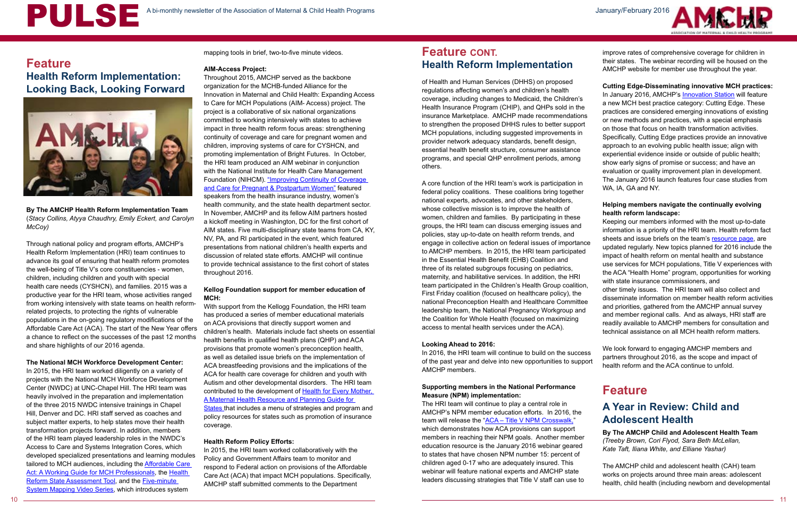# A bi-monthly newsletter of the Association of Maternal & Child Health Programs January/February 2016



## **Feature Health Reform Implementation: Looking Back, Looking Forward**



**By The AMCHP Health Reform Implementation Team** (*Stacy Collins, Atyya Chaudhry, Emily Eckert, and Carolyn McCoy)*

Through national policy and program efforts, AMCHP's Health Reform Implementation (HRI) team continues to advance its goal of ensuring that health reform promotes the well-being of Title V's core constituencies - women, children, including children and youth with special health care needs (CYSHCN), and families. 2015 was a productive year for the HRI team, whose activities ranged from working intensively with state teams on health reformrelated projects, to protecting the rights of vulnerable populations in the on-going regulatory modifications of the Affordable Care Act (ACA). The start of the New Year offers a chance to reflect on the successes of the past 12 months and share highlights of our 2016 agenda.

#### **The National MCH Workforce Development Center:**

In 2015, the HRI team worked diligently on a variety of projects with the National MCH Workforce Development Center (NWDC) at UNC-Chapel Hill. The HRI team was heavily involved in the preparation and implementation of the three 2015 NWDC intensive trainings in Chapel Hill, Denver and DC. HRI staff served as coaches and subject matter experts, to help states move their health transformation projects forward. In addition, members of the HRI team played leadership roles in the NWDC's Access to Care and Systems Integration Cores, which developed specialized presentations and learning modules tailored to MCH audiences, including the [Affordable Care](http://www.amchp.org/Transformation-Station/Documents/ACA-guide.pdf)  [Act: A Working Guide for MCH Professionals,](http://www.amchp.org/Transformation-Station/Documents/ACA-guide.pdf) the [Health](http://www.amchp.org/Transformation-Station/Pages/State-Assessment-Tool-.aspx)  [Reform State Assessment Tool](http://www.amchp.org/Transformation-Station/Pages/State-Assessment-Tool-.aspx), and the Five-minute [System Mapping Video Series](http://www.amchp.org/Transformation-Station/Pages/FiveMinuteSystemMappingVideoSeries.aspx), which introduces system

mapping tools in brief, two-to-five minute videos.

#### **AIM-Access Project:**

[States](http://www.amchp.org/AboutTitleV/Resources/Documents/Health-for-Every-Mother_FINAL_WebOptimized.pdf) that includes a menu of strategies and program and policy resources for states such as promotion of insurance coverage.

Throughout 2015, AMCHP served as the backbone organization for the MCHB-funded Alliance for the Innovation in Maternal and Child Health: Expanding Access to Care for MCH Populations (AIM- Access) project. The project is a collaborative of six national organizations committed to working intensively with states to achieve impact in three health reform focus areas: strengthening continuity of coverage and care for pregnant women and children, improving systems of care for CYSHCN, and promoting implementation of Bright Futures. In October, the HRI team produced an AIM webinar in conjunction with the National Institute for Health Care Management Foundation (NIHCM). "Improving Continuity of Coverage [and Care for Pregnant & Postpartum Women"](https://amchp.adobeconnect.com/_a838359725/p5rern124gj/?launcher=false&fcsContent=true&pbMode=normal) featured speakers from the health insurance industry, women's health community, and the state health department sector. In November, AMCHP and its fellow AIM partners hosted a kickoff meeting in Washington, DC for the first cohort of AIM states. Five multi-disciplinary state teams from CA, KY, NV, PA, and RI participated in the event, which featured presentations from national children's health experts and discussion of related state efforts. AMCHP will continue to provide technical assistance to the first cohort of states throughout 2016.

#### **Kellog Foundation support for member education of MCH:**

With support from the Kellogg Foundation, the HRI team has produced a series of member educational materials on ACA provisions that directly support women and children's health. Materials include fact sheets on essential health benefits in qualified health plans (QHP) and ACA provisions that promote women's preconception health, as well as detailed issue briefs on the implementation of ACA breastfeeding provisions and the implications of the ACA for health care coverage for children and youth with Autism and other developmental disorders. The HRI team contributed to the development of Health for Every Mother, [A Maternal Health Resource and Planning Guide for](http://www.amchp.org/AboutTitleV/Resources/Documents/Health-for-Every-Mother_FINAL_WebOptimized.pdf) 

In January 2016, AMCHP's **Innovation Station** will feature a new MCH best practice category: Cutting Edge. These practices are considered emerging innovations of existing or new methods and practices, with a special emphasis on those that focus on health transformation activities. Specifically, Cutting Edge practices provide an innovative approach to an evolving public health issue; align with experiential evidence inside or outside of public health; show early signs of promise or success; and have an evaluation or quality improvement plan in development. The January 2016 launch features four case studies from

#### **Health Reform Policy Efforts:**

In 2015, the HRI team worked collaboratively with the Policy and Government Affairs team to monitor and respond to Federal action on provisions of the Affordable Care Act (ACA) that impact MCH populations. Specifically, AMCHP staff submitted comments to the Department

of Health and Human Services (DHHS) on proposed regulations affecting women's and children's health coverage, including changes to Medicaid, the Children's Health Insurance Program (CHIP), and QHPs sold in the insurance Marketplace. AMCHP made recommendations to strengthen the proposed DHHS rules to better support MCH populations, including suggested improvements in provider network adequacy standards, benefit design, essential health benefit structure, consumer assistance programs, and special QHP enrollment periods, among others.

#### **Looking Ahead to 2016:**

In 2016, the HRI team will continue to build on the success of the past year and delve into new opportunities to support AMCHP members.

#### **Supporting members in the National Performance Measure (NPM) implementation:**

The HRI team will continue to play a central role in AMCHP's NPM member education efforts. In 2016, the team will release the ["ACA – Title V NPM Crosswalk,"](http://www.amchp.org/Policy-Advocacy/health-reform/resources/Documents/NPM_ACA_Crosswalk%2012.17.15.pdf) which demonstrates how ACA provisions can support members in reaching their NPM goals. Another member education resource is the January 2016 webinar geared to states that have chosen NPM number 15: percent of children aged 0-17 who are adequately insured. This webinar will feature national experts and AMCHP state leaders discussing strategies that Title V staff can use to

A core function of the HRI team's work is participation in federal policy coalitions. These coalitions bring together national experts, advocates, and other stakeholders, whose collective mission is to improve the health of women, children and families. By participating in these groups, the HRI team can discuss emerging issues and policies, stay up-to-date on health reform trends, and engage in collective action on federal issues of importance to AMCHP members. In 2015, the HRI team participated in the Essential Health Benefit (EHB) Coalition and three of its related subgroups focusing on pediatrics, maternity, and habilitative services. In addition, the HRI team participated in the Children's Health Group coalition, First Friday coalition (focused on healthcare policy), the national Preconception Health and Healthcare Committee leadership team, the National Pregnancy Workgroup and the Coalition for Whole Health (focused on maximizing access to mental health services under the ACA). WA, IA, GA and NY. **Helping members navigate the continually evolving health reform landscape:** Keeping our members informed with the most up-to-date information is a priority of the HRI team. Health reform fact sheets and issue briefs on the team's [resource page](http://www.amchp.org/Policy-Advocacy/health-reform/resources/Pages/default.aspx), are updated regularly. New topics planned for 2016 include the impact of health reform on mental health and substance use services for MCH populations, Title V experiences with the ACA "Health Home" program, opportunities for working with state insurance commissioners, and other timely issues. The HRI team will also collect and disseminate information on member health reform activities and priorities, gathered from the AMCHP annual survey and member regional calls. And as always, HRI staff are readily available to AMCHP members for consultation and technical assistance on all MCH health reform matters.

improve rates of comprehensive coverage for children in their states. The webinar recording will be housed on the AMCHP website for member use throughout the year.

### **Cutting Edge-Disseminating innovative MCH practices:**

We look forward to engaging AMCHP members and partners throughout 2016, as the scope and impact of health reform and the ACA continue to unfold.

## **Feature**

## **A Year in Review: Child and Adolescent Health**

**By The AMCHP Child and Adolescent Health Team** *(Treeby Brown, Cori Flyod, Sara Beth McLellan, Kate Taft, Iliana White, and Elliane Yashar)*

The AMCHP child and adolescent health (CAH) team works on projects around three main areas: adolescent health, child health (including newborn and developmental

## **Feature CONT. Health Reform Implementation**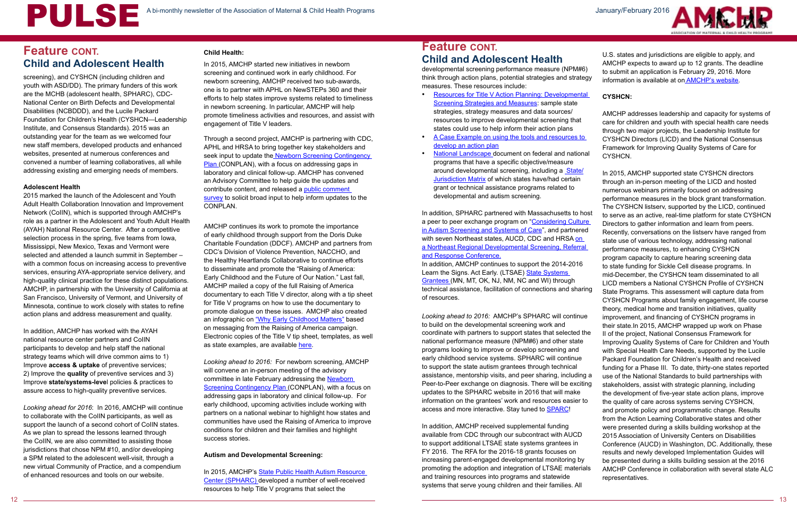screening), and CYSHCN (including children and youth with ASD/DD). The primary funders of this work are the MCHB (adolescent health, SPHARC), CDC-National Center on Birth Defects and Developmental Disabilities (NCBDDD), and the Lucile Packard Foundation for Children's Health (CYSHCN—Leadership Institute, and Consensus Standards). 2015 was an outstanding year for the team as we welcomed four new staff members, developed products and enhanced websites, presented at numerous conferences and convened a number of learning collaboratives, all while addressing existing and emerging needs of members.

#### **Adolescent Health**

2015 marked the launch of the Adolescent and Youth Adult Health Collaboration Innovation and Improvement Network (CoIIN), which is supported through AMCHP's role as a partner in the Adolescent and Youth Adult Health (AYAH) National Resource Center. After a competitive selection process in the spring, five teams from Iowa, Mississippi, New Mexico, Texas and Vermont were selected and attended a launch summit in September – with a common focus on increasing access to preventive services, ensuring AYA-appropriate service delivery, and high-quality clinical practice for these distinct populations. AMCHP, in partnership with the University of California at San Francisco, University of Vermont, and University of Minnesota, continue to work closely with states to refine action plans and address measurement and quality.

AMCHP continues its work to promote the importance of early childhood through support from the Doris Duke Charitable Foundation (DDCF). AMCHP and partners from CDC's Division of Violence Prevention, NACCHO, and the Healthy Heartlands Collaborative to continue efforts to disseminate and promote the "Raising of America: Early Childhood and the Future of Our Nation." Last fall, AMCHP mailed a copy of the full Raising of America documentary to each Title V director, along with a tip sheet for Title V programs on how to use the documentary to promote dialogue on these issues. AMCHP also created an infographic on ["Why Early Childhood Matters"](http://www.amchp.org/programsandtopics/CHILD-HEALTH/projects/early-intervention-svcs/PublishingImages/EC_Infographic.png) based on messaging from the Raising of America campaign. Electronic copies of the Title V tip sheet, templates, as well as state examples, are available [here.](http://www.amchp.org/programsandtopics/CHILD-HEALTH/projects/early-intervention-svcs/Pages/default.aspx)

In addition, AMCHP has worked with the AYAH national resource center partners and CoIIN participants to develop and help staff the national strategy teams which will drive common aims to 1) Improve **access & uptake** of preventive services; 2) Improve the **quality** of preventive services and 3) Improve **state/systems-leve**l policies & practices to assure access to high-quality preventive services.

*Looking ahead for 2016*: In 2016, AMCHP will continue to collaborate with the CoIIN participants, as well as support the launch of a second cohort of CollN states. As we plan to spread the lessons learned through the CoIIN, we are also committed to assisting those jurisdictions that chose NPM #10, and/or developing a SPM related to the adolescent well-visit, through a new virtual Community of Practice, and a compendium of enhanced resources and tools on our website.

In 2015, AMCHP's State Public Health Autism Resource [Center \(SPHARC\) d](http://http://www.amchp.org/programsandtopics/CYSHCN/projects/spharc/Pages/default.aspx)eveloped a number of well-received resources to help Title V programs that select the

#### **Child Health:**

In 2015, AMCHP started new initiatives in newborn screening and continued work in early childhood. For newborn screening, AMCHP received two sub-awards, one is to partner with APHL on NewSTEPs 360 and their efforts to help states improve systems related to timeliness in newborn screening. In particular, AMCHP will help promote timeliness activities and resources, and assist with engagement of Title V leaders.

Through a second project, AMCHP is partnering with CDC, APHL and HRSA to bring together key stakeholders and seek input to update the Newborn Screening Contingency [Plan \(](http://www.amchp.org/programsandtopics/CHILD-HEALTH/projects/newborn-screening/Documents/NBS-CONPLAN_2010.pdf)CONPLAN), with a focus on addressing gaps in laboratory and clinical follow-up. AMCHP has convened an Advisory Committee to help guide the updates and contribute content, and released a [public comment](http://www.amchp.org/programsandtopics/CHILD-HEALTH/projects/newborn-screening/Documents/NBS-CONPLAN_2010.pdf)  [survey](http://www.amchp.org/programsandtopics/CHILD-HEALTH/projects/newborn-screening/Documents/NBS-CONPLAN_2010.pdf) to solicit broad input to help inform updates to the CONPLAN.

*Looking ahead to 2016:* For newborn screening, AMCHP will convene an in-person meeting of the advisory committee in late February addressing the [Newborn](http://www.amchp.org/programsandtopics/CHILD-HEALTH/projects/newborn-screening/Documents/NBS-CONPLAN_2010.pdf)  [Screening Contingency Plan \(](http://www.amchp.org/programsandtopics/CHILD-HEALTH/projects/newborn-screening/Documents/NBS-CONPLAN_2010.pdf)CONPLAN), with a focus on addressing gaps in laboratory and clinical follow-up. For early childhood, upcoming activities include working with partners on a national webinar to highlight how states and communities have used the Raising of America to improve conditions for children and their families and highlight success stories.

#### **Autism and Developmental Screening:**

## **Feature CONT. Child and Adolescent Health**

developmental screening performance measure (NPM#6) think through action plans, potential strategies and strategy measures. These resources include:

- [Resources for Title V Action Planning: Developmental](http://www.amchp.org/programsandtopics/CYSHCN/projects/spharc/LearningModule/Documents/TITLEV-ACTION-PLANNING_NPM6_STRATEGIES_MEASURES.pdf)  [Screening Strategies and Measures:](http://www.amchp.org/programsandtopics/CYSHCN/projects/spharc/LearningModule/Documents/TITLEV-ACTION-PLANNING_NPM6_STRATEGIES_MEASURES.pdf) sample state strategies, strategy measures and data sources/ resources to improve developmental screening that states could use to help inform their action plans
- [A Case Example on using the tools and resources to](http://www.amchp.org/programsandtopics/CYSHCN/projects/spharc/LearningModule/Documents/Case-Example-TitleV_NPM6.pdf)  [develop an action plan](http://www.amchp.org/programsandtopics/CYSHCN/projects/spharc/LearningModule/Documents/Case-Example-TitleV_NPM6.pdf)
- **[National Landscape](http://www.amchp.org/programsandtopics/CYSHCN/projects/spharc/LearningModule/Documents/National_Landscape_Programs_to_Promote_Developmental_Screening.pdf) document on federal and national** programs that have a specific objective/measure around developmental screening, including a [State/](http://www.amchp.org/programsandtopics/CYSHCN/projects/spharc/LearningModule/Documents/State_Matrix.pdf) [Jurisdiction Matrix](http://www.amchp.org/programsandtopics/CYSHCN/projects/spharc/LearningModule/Documents/State_Matrix.pdf) of which states have/had certain grant or technical assistance programs related to developmental and autism screening.

In addition, SPHARC partnered with Massachusetts to host a peer to peer exchange program on "Considering Culture [in Autism Screening and Systems of Care"](http://www.amchp.org/programsandtopics/CYSHCN/projects/spharc/peer-to-peer-exchange/Pages/Massachusetts.aspx), and partnered with seven Northeast states, AUCD, CDC and HRSA [on](http://www.amchp.org/programsandtopics/CYSHCN/projects/spharc/peer-to-peer-exchange/Pages/Northeast-Regional-Conference.aspx)  [a Northeast Regional Developmental Screening, Referral](http://www.amchp.org/programsandtopics/CYSHCN/projects/spharc/peer-to-peer-exchange/Pages/Northeast-Regional-Conference.aspx)  [and Response Conference.](http://www.amchp.org/programsandtopics/CYSHCN/projects/spharc/peer-to-peer-exchange/Pages/Northeast-Regional-Conference.aspx) In addition, AMCHP continues to support the 2014-2016 Learn the Signs. Act Early. (LTSAE) State Systems [Grantees \(](http://www.amchp.org/programsandtopics/CYSHCN/projects/spharc/CDC%20Act%20Early%20Grants/Pages/default.aspx)MN, MT, OK, NJ, NM, NC and WI) through technical assistance, facilitation of connections and sharing of resources. *Looking ahead to 2016:* AMCHP's SPHARC will continue to build on the developmental screening work and coordinate with partners to support states that selected the national performance measure (NPM#6) and other state programs looking to improve or develop screening and early childhood service systems. SPHARC will continue to support the state autism grantees through technical assistance, mentorship visits, and peer sharing, including a Peer-to-Peer exchange on diagnosis. There will be exciting updates to the SPHARC website in 2016 that will make information on the grantees' work and resources easier to access and more interactive. Stay tuned to **[SPARC](http://www.amchp.org/programsandtopics/CYSHCN/projects/spharc/Pages/default.aspx)!** In addition, AMCHP received supplemental funding available from CDC through our subcontract with AUCD to support additional LTSAE state systems grantees in FY 2016. The RFA for the 2016-18 grants focuses on increasing parent-engaged developmental monitoring by promoting the adoption and integration of LTSAE materials and training resources into programs and statewide

systems that serve young children and their families. All



U.S. states and jurisdictions are eligible to apply, and AMCHP expects to award up to 12 grants. The deadline to submit an application is February 29, 2016. More information is available at on [AMCHP's website](http://www.amchp.org/programsandtopics/CYSHCN/projects/spharc/CDC%20Act%20Early%20Grants/Pages/default.aspx).

### **CYSHCN:**

AMCHP addresses leadership and capacity for systems of care for children and youth with special health care needs through two major projects, the Leadership Institute for CYSHCN Directors (LICD) and the National Consensus Framework for Improving Quality Systems of Care for CYSHCN.

In 2015, AMCHP supported state CYSHCN directors through an in-person meeting of the LICD and hosted numerous webinars primarily focused on addressing performance measures in the block grant transformation. The CYSHCN listserv, supported by the LICD, continued to serve as an active, real-time platform for state CYSHCN Directors to gather information and learn from peers. Recently, conversations on the listserv have ranged from state use of various technology, addressing national performance measures, to enhancing CYSHCN program capacity to capture hearing screening data to state funding for Sickle Cell disease programs. In mid-December, the CYSHCN team disseminated to all LICD members a National CYSHCN Profile of CYSHCN State Programs. This assessment will capture data from CYSHCN Programs about family engagement, life course theory, medical home and transition initiatives, quality improvement, and financing of CYSHCN programs in their state.In 2015, AMCHP wrapped up work on Phase II of the project, National Consensus Framework for Improving Quality Systems of Care for Children and Youth with Special Health Care Needs, supported by the Lucile Packard Foundation for Children's Health and received funding for a Phase III. To date, thirty-one states reported use of the National Standards to build partnerships with stakeholders, assist with strategic planning, including the development of five-year state action plans, improve the quality of care across systems serving CYSHCN, and promote policy and programmatic change. Results from the Action Learning Collaborative states and other were presented during a skills building workshop at the 2015 Association of University Centers on Disabilities Conference (AUCD) in Washington, DC. Additionally, these results and newly developed Implementation Guides will be presented during a skills building session at the 2016 AMCHP Conference in collaboration with several state ALC representatives.

# A bi-monthly newsletter of the Association of Maternal & Child Health Programs January/February 2016

## **Feature CONT. Child and Adolescent Health**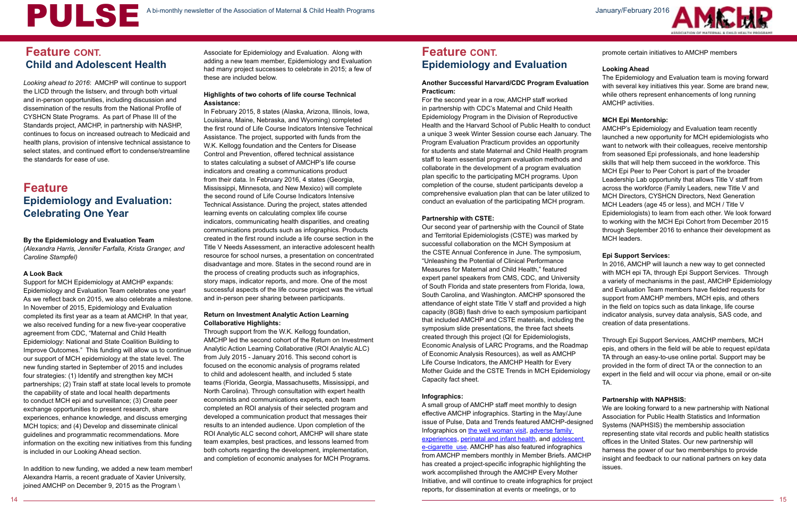*Looking ahead to 2016*: AMCHP will continue to support the LICD through the listserv, and through both virtual and in-person opportunities, including discussion and dissemination of the results from the National Profile of CYSHCN State Programs. As part of Phase III of the Standards project, AMCHP, in partnership with NASHP, continues to focus on increased outreach to Medicaid and health plans, provision of intensive technical assistance to select states, and continued effort to condense/streamline the standards for ease of use.

#### **By the Epidemiology and Evaluation Team**

*(Alexandra Harris, Jennifer Farfalla, Krista Granger, and Caroline Stampfel)* 

#### **A Look Back**

Support for MCH Epidemiology at AMCHP expands: Epidemiology and Evaluation Team celebrates one year! As we reflect back on 2015, we also celebrate a milestone. In November of 2015, Epidemiology and Evaluation completed its first year as a team at AMCHP. In that year, we also received funding for a new five-year cooperative agreement from CDC, "Maternal and Child Health Epidemiology: National and State Coalition Building to Improve Outcomes." This funding will allow us to continue our support of MCH epidemiology at the state level. The new funding started in September of 2015 and includes four strategies: (1) Identify and strengthen key MCH partnerships; (2) Train staff at state local levels to promote the capability of state and local health departments to conduct MCH epi and surveillance; (3) Create peer exchange opportunities to present research, share experiences, enhance knowledge, and discuss emerging MCH topics; and (4) Develop and disseminate clinical guidelines and programmatic recommendations. More information on the exciting new initiatives from this funding is included in our Looking Ahead section.

In addition to new funding, we added a new team member! Alexandra Harris, a recent graduate of Xavier University, joined AMCHP on December 9, 2015 as the Program \

Associate for Epidemiology and Evaluation. Along with adding a new team member, Epidemiology and Evaluation had many project successes to celebrate in 2015; a few of these are included below.

#### **Highlights of two cohorts of life course Technical Assistance:**

In February 2015, 8 states (Alaska, Arizona, Illinois, Iowa, Louisiana, Maine, Nebraska, and Wyoming) completed the first round of Life Course Indicators Intensive Technical Assistance. The project, supported with funds from the W.K. Kellogg foundation and the Centers for Disease Control and Prevention, offered technical assistance to states calculating a subset of AMCHP's life course indicators and creating a communications product from their data. In February 2016, 4 states (Georgia, Mississippi, Minnesota, and New Mexico) will complete the second round of Life Course Indicators Intensive Technical Assistance. During the project, states attended learning events on calculating complex life course indicators, communicating health disparities, and creating communications products such as infographics. Products created in the first round include a life course section in the Title V Needs Assessment, an interactive adolescent health resource for school nurses, a presentation on concentrated disadvantage and more. States in the second round are in the process of creating products such as infographics, story maps, indicator reports, and more. One of the most successful aspects of the life course project was the virtual and in-person peer sharing between participants.

#### **Return on Investment Analytic Action Learning Collaborative Highlights:**

Through support from the W.K. Kellogg foundation, AMCHP led the second cohort of the Return on Investment Analytic Action Learning Collaborative (ROI Analytic ALC) from July 2015 - January 2016. This second cohort is focused on the economic analysis of programs related to child and adolescent health, and included 5 state teams (Florida, Georgia, Massachusetts, Mississippi, and North Carolina). Through consultation with expert health economists and communications experts, each team completed an ROI analysis of their selected program and developed a communication product that messages their results to an intended audience. Upon completion of the ROI Analytic ALC second cohort, AMCHP will share state team examples, best practices, and lessons learned from both cohorts regarding the development, implementation, and completion of economic analyses for MCH Programs.

#### **Another Successful Harvard/CDC Program Evaluation Practicum:**

For the second year in a row, AMCHP staff worked in partnership with CDC's Maternal and Child Health Epidemiology Program in the Division of Reproductive Health and the Harvard School of Public Health to conduct a unique 3 week Winter Session course each January. The Program Evaluation Practicum provides an opportunity for students and state Maternal and Child Health program staff to learn essential program evaluation methods and collaborate in the development of a program evaluation plan specific to the participating MCH programs. Upon completion of the course, student participants develop a comprehensive evaluation plan that can be later utilized to conduct an evaluation of the participating MCH program.

#### **Partnership with CSTE:**

Our second year of partnership with the Council of State and Territorial Epidemiologists (CSTE) was marked by successful collaboration on the MCH Symposium at the CSTE Annual Conference in June. The symposium, "Unleashing the Potential of Clinical Performance Measures for Maternal and Child Health," featured expert panel speakers from CMS, CDC, and University of South Florida and state presenters from Florida, Iowa, South Carolina, and Washington. AMCHP sponsored the attendance of eight state Title V staff and provided a high capacity (8GB) flash drive to each symposium participant that included AMCHP and CSTE materials, including the symposium slide presentations, the three fact sheets created through this project (QI for Epidemiologists, Economic Analysis of LARC Programs, and the Roadmap of Economic Analysis Resources), as well as AMCHP Life Course Indicators, the AMCHP Health for Every Mother Guide and the CSTE Trends in MCH Epidemiology Capacity fact sheet.

#### **Infographics:**

promote certain initiatives to AMCHP members

#### **Looking Ahead**

The Epidemiology and Evaluation team is moving forward with several key initiatives this year. Some are brand new, while others represent enhancements of long running AMCHP activities.

#### **MCH Epi Mentorship:**

- AMCHP's Epidemiology and Evaluation team recently launched a new opportunity for MCH epidemiologists who want to network with their colleagues, receive mentorship from seasoned Epi professionals, and hone leadership skills that will help them succeed in the workforce. This MCH Epi Peer to Peer Cohort is part of the broader Leadership Lab opportunity that allows Title V staff from across the workforce (Family Leaders, new Title V and
- MCH Directors, CYSHCN Directors, Next Generation MCH Leaders (age 45 or less), and MCH / Title V Epidemiologists) to learn from each other. We look forward to working with the MCH Epi Cohort from December 2015 through September 2016 to enhance their development as MCH leaders.

A small group of AMCHP staff meet monthly to design effective AMCHP infographics. Starting in the May/June issue of Pulse, Data and Trends featured AMCHP-designed Infographics on [the well woman visit](http://www.amchp.org/AboutAMCHP/Newsletters/Pulse/MayJune2015/Pages/DataandTrends.aspx), [adverse family](http://www.amchp.org/AboutAMCHP/Newsletters/Pulse/JulAug2015/Pages/DataandTrends.aspx)  [experiences,](http://www.amchp.org/AboutAMCHP/Newsletters/Pulse/JulAug2015/Pages/DataandTrends.aspx) [perinatal and infant health,](http://www.amchp.org/AboutAMCHP/Newsletters/Pulse/SeptOct2015/Pages/DataandTrends.aspx) and [adolescent](http://www.amchp.org/AboutAMCHP/Newsletters/Pulse/NovDec2015/Pages/DataandTrends.aspx)  [e-cigarette use.](http://www.amchp.org/AboutAMCHP/Newsletters/Pulse/NovDec2015/Pages/DataandTrends.aspx) AMCHP has also featured infographics from AMCHP members monthly in Member Briefs. AMCHP has created a project-specific infographic highlighting the work accomplished through the AMCHP Every Mother Initiative, and will continue to create infographics for project reports, for dissemination at events or meetings, or to We are looking forward to a new partnership with National Association for Public Health Statistics and Information Systems (NAPHSIS) the membership association representing state vital records and public health statistics offices in the United States. Our new partnership will harness the power of our two memberships to provide insight and feedback to our national partners on key data issues.



#### **Epi Support Services:**

In 2016, AMCHP will launch a new way to get connected with MCH epi TA, through Epi Support Services. Through a variety of mechanisms in the past, AMCHP Epidemiology and Evaluation Team members have fielded requests for support from AMCHP members, MCH epis, and others in the field on topics such as data linkage, life course indicator analysis, survey data analysis, SAS code, and creation of data presentations.

Through Epi Support Services, AMCHP members, MCH epis, and others in the field will be able to request epi/data TA through an easy-to-use online portal. Support may be provided in the form of direct TA or the connection to an expert in the field and will occur via phone, email or on-site TA.

#### **Partnership with NAPHSIS:**

## **Feature CONT. Epidemiology and Evaluation**

## **Feature Epidemiology and Evaluation: Celebrating One Year**

## **Feature CONT. Child and Adolescent Health**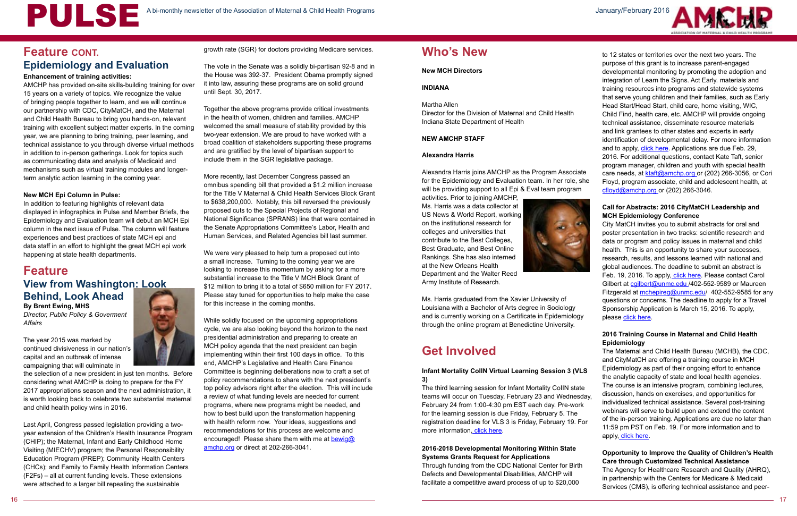#### **Enhancement of training activities:**

AMCHP has provided on-site skills-building training for over 15 years on a variety of topics. We recognize the value of bringing people together to learn, and we will continue our partnership with CDC, CityMatCH, and the Maternal and Child Health Bureau to bring you hands-on, relevant training with excellent subject matter experts. In the coming year, we are planning to bring training, peer learning, and technical assistance to you through diverse virtual methods in addition to in-person gatherings. Look for topics such as communicating data and analysis of Medicaid and mechanisms such as virtual training modules and longerterm analytic action learning in the coming year.

#### **New MCH Epi Column in Pulse:**

In addition to featuring highlights of relevant data displayed in infographics in Pulse and Member Briefs, the Epidemiology and Evaluation team will debut an MCH Epi column in the next issue of Pulse. The column will feature experiences and best practices of state MCH epi and data staff in an effort to highlight the great MCH epi work happening at state health departments.

## **Feature View from Washington: Look Behind, Look Ahead**

**By Brent Ewing, MHS**

*Director, Public Policy & Goverment Affairs*

The year 2015 was marked by continued divisiveness in our nation's capital and an outbreak of intense campaigning that will culminate in

the selection of a new president in just ten months. Before considering what AMCHP is doing to prepare for the FY 2017 appropriations season and the next administration, it is worth looking back to celebrate two substantial maternal and child health policy wins in 2016.

Last April, Congress passed legislation providing a twoyear extension of the Children's Health Insurance Program (CHIP); the Maternal, Infant and Early Childhood Home Visiting (MIECHV) program; the Personal Responsibility Education Program (PREP); Community Health Centers (CHCs); and Family to Family Health Information Centers (F2Fs) – all at current funding levels. These extensions were attached to a larger bill repealing the sustainable



Alexandra Harris joins AMCHP as the Program Associate for the Epidemiology and Evaluation team. In her role, she will be providing support to all Epi & Eval team program

The vote in the Senate was a solidly bi-partisan 92-8 and in the House was 392-37. President Obama promptly signed it into law, assuring these programs are on solid ground until Sept. 30, 2017.

Together the above programs provide critical investments in the health of women, children and families. AMCHP welcomed the small measure of stability provided by this two-year extension. We are proud to have worked with a broad coalition of stakeholders supporting these programs and are gratified by the level of bipartisan support to include them in the SGR legislative package.

> The third learning session for Infant Mortality CoIIN state teams will occur on Tuesday, February 23 and Wednesday, February 24 from 1:00-4:30 pm EST each day. Pre-work for the learning session is due Friday, February 5. The registration deadline for VLS 3 is Friday, February 19. For more information, [click here.](https://www.cvent.com/Pub/eMarketing/Pages/WebEmail.aspx?m=cf97b859-ecf8-4c8f-9373-2f30f4a35e94)

to 12 states or territories over the next two years. The purpose of this grant is to increase parent-engaged developmental monitoring by promoting the adoption and integration of Learn the Signs. Act Early. materials and training resources into programs and statewide systems that serve young children and their families, such as Early Head Start/Head Start, child care, home visiting, WIC, Child Find, health care, etc. AMCHP will provide ongoing technical assistance, disseminate resource materials and link grantees to other states and experts in early identification of developmental delay. For more information and to apply, *click here*. Applications are due Feb. 29, 2016. For additional questions, contact Kate Taft, senior program manager, children and youth with special health care needs, at [ktaft@amchp.org](mailto:ktaft%40amchp.org?subject=) or (202) 266-3056, or Cori [Floyd](mailto:cflyod%40amchp.org?subject=), program associate, child and adolescent health, at  $cflowd@amchp.org$  or (202) 266-3046.

More recently, last December Congress passed an omnibus spending bill that provided a \$1.2 million increase for the Title V Maternal & Child Health Services Block Grant to \$638,200,000. Notably, this bill reversed the previously proposed cuts to the Special Projects of Regional and National Significance (SPRANS) line that were contained in the Senate Appropriations Committee's Labor, Health and Human Services, and Related Agencies bill last summer.

We were very pleased to help turn a proposed cut into a small increase. Turning to the coming year we are looking to increase this momentum by asking for a more substantial increase to the Title V MCH Block Grant of \$12 million to bring it to a total of \$650 million for FY 2017. Please stay tuned for opportunities to help make the case for this increase in the coming months.

City MatCH invites you to submit abstracts for oral and poster presentation in two tracks: scientific research and data or program and policy issues in maternal and child health. This is an opportunity to share your successes, research, results, and lessons learned with national and global audiences. The deadline to submit an abstract is Feb. 19, 2016. To apply[, click here](http://www.citymatch.org/citymatch-conference/abstracts). Please contact Carol Gilbert at cailbert@unmc.edu /402-552-9589 or Maureen Fitzgerald at [mchepireg@unmc.edu/](mailto:mchepireg%40unmc.edu?subject=) 402-552-9585 for any questions or concerns. The deadline to apply for a Travel Sponsorship Application is March 15, 2016. To apply, please [click here](https://www.surveymonkey.com/r/2YK6J2Z).

The Maternal and Child Health Bureau (MCHB), the CDC, and CityMatCH are offering a training course in MCH Epidemiology as part of their ongoing effort to enhance the analytic capacity of state and local health agencies. The course is an intensive program, combining lectures, discussion, hands on exercises, and opportunities for individualized technical assistance. Several post-training webinars will serve to build upon and extend the content of the in-person training. Applications are due no later than 11:59 pm PST on Feb. 19. For more information and to apply, [click here.](http://www.citymatch.org/2016-training-course-maternal-and-child-health-epidemiology)

While solidly focused on the upcoming appropriations cycle, we are also looking beyond the horizon to the next presidential administration and preparing to create an MCH policy agenda that the next president can begin implementing within their first 100 days in office. To this end, AMCHP's Legislative and Health Care Finance Committee is beginning deliberations now to craft a set of policy recommendations to share with the next president's top policy advisors right after the election. This will include a review of what funding levels are needed for current programs, where new programs might be needed, and how to best build upon the transformation happening with health reform now. Your ideas, suggestions and recommendations for this process are welcome and encouraged! Please share them with me at bewig@ amchp.org or direct at 202-266-3041.

#### **New MCH Directors**

#### **INDIANA**

### Martha Allen

Director for the Division of Maternal and Child Health Indiana State Department of Health

#### **NEW AMCHP STAFF**

#### **Alexandra Harris**

activities. Prior to joining AMCHP, Ms. Harris was a data collector at US News & World Report, working on the institutional research for colleges and universities that contribute to the Best Colleges, Best Graduate, and Best Online Rankings. She has also interned at the New Orleans Health Department and the Walter Reed Army Institute of Research.



Ms. Harris graduated from the Xavier University of Louisiana with a Bachelor of Arts degree in Sociology and is currently working on a Certificate in Epidemiology through the online program at Benedictine University.

## **Get Involved**

## growth rate (SGR) for doctors providing Medicare services. **Feature CONT. Who's New Epidemiology and Evaluation**

#### **Infant Mortality CoIIN Virtual Learning Session 3 (VLS 3)**

#### **2016-2018 Developmental Monitoring Within State Systems Grants Request for Applications**

Through funding from the CDC National Center for Birth Defects and Developmental Disabilities, AMCHP will facilitate a competitive award process of up to \$20,000





### **Call for Abstracts: 2016 CityMatCH Leadership and MCH Epidemiology Conference**

#### **2016 Training Course in Maternal and Child Health Epidemiology**

### **Opportunity to Improve the Quality of Children's Health Care through Customized Technical Assistance**

The Agency for Healthcare Research and Quality (AHRQ), in partnership with the Centers for Medicare & Medicaid Services (CMS), is offering technical assistance and peer-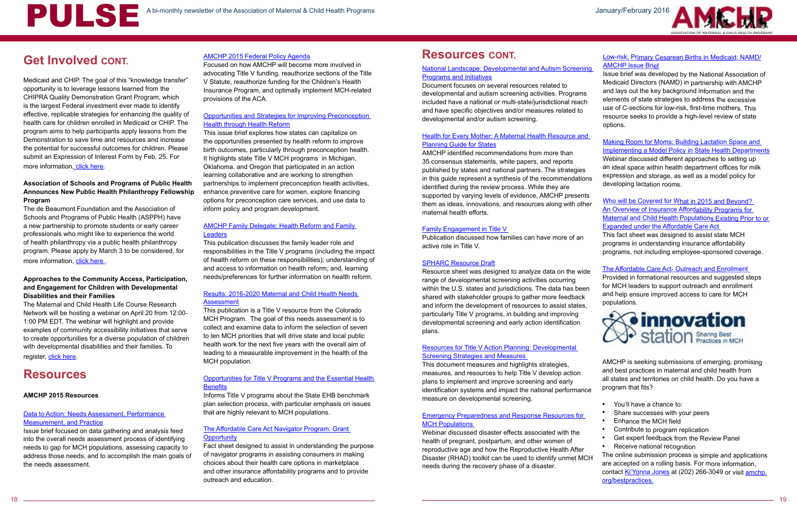## **Get Involved CONT.**

The de Beaumont Foundation and the Association of Schools and Programs of Public Health (ASPPH) have a new partnership to promote students or early career professionals who might like to experience the world of health philanthropy via a public health philanthropy program. Please apply by March 3 to be considered, for more information, click here

Medicaid and CHIP. The goal of this "knowledge transfer" opportunity is to leverage lessons learned from the CHIPRA Quality Demonstration Grant Program, which is the largest Federal investment ever made to identify effective, replicable strategies for enhancing the quality of health care for children enrolled in Medicaid or CHIP. The program aims to help participants apply lessons from the Demonstration to save time and resources and increase the potential for successful outcomes for children. Please submit an Expression of Interest Form by Feb. 25. For more information, [click here.](http://www.ahrq.gov/policymakers/chipra/demoeval/whatsnew.html)

The Maternal and Child Health Life Course Research Network will be hosting a webinar on April 20 from 12:00- 1:00 PM EDT. The webinar will highlight and provide examples of community accessibility initiatives that serve to create opportunities for a diverse population of children with developmental disabilities and their families. To register, [click here.](https://attendee.gotowebinar.com/register/2296822987890283777)

### **Association of Schools and Programs of Public Health Announces New Public Health Philanthropy Fellowship Program**

#### [Data to Action: Needs Assessment, Performance](
http://www.amchp.org/AboutTitleV/Resources/Documents/Data%20to%20Action%20Brief%20%201-9-15%20v2.pdf#search=Data%20to%20Action%3A%20Needs%20Assessment%2C%20Performance%20Measurement%2C%20and%20Practice)  **[Measurement, and Practice](
http://www.amchp.org/AboutTitleV/Resources/Documents/Data%20to%20Action%20Brief%20%201-9-15%20v2.pdf#search=Data%20to%20Action%3A%20Needs%20Assessment%2C%20Performance%20Measurement%2C%20and%20Practice)**

#### **Approaches to the Community Access, Participation, and Engagement for Children with Developmental Disabilities and their Families**

#### [AMCHP Family Delegate: Health Reform and Family]( 
http://www.amchp.org/programsandtopics/family-engagement/ToolsandResources/Documents/Needs%20Assessment_Health%20Reform%20and%20Family%20Delegates.pdf#search=AMCHP%20Family%20Delegate%3A%20Health%20Reform%20and%20Family%20Leaders)  **[Leaders]( 
http://www.amchp.org/programsandtopics/family-engagement/ToolsandResources/Documents/Needs%20Assessment_Health%20Reform%20and%20Family%20Delegates.pdf#search=AMCHP%20Family%20Delegate%3A%20Health%20Reform%20and%20Family%20Leaders)**

## **Resources**

#### **AMCHP 2015 Resources**

#### [Opportunities for Title V Programs and the Essential Health](http://www.amchp.org/Transformation-Station/Documents/AMCHP%20EHB%20fact%20sheet%20May%202015.pdf#search=Opportunities%20for%20Title%20V%20Programs%20and%20the%20Essential%20Health%20Benefits)  **[Benefits](http://www.amchp.org/Transformation-Station/Documents/AMCHP%20EHB%20fact%20sheet%20May%202015.pdf#search=Opportunities%20for%20Title%20V%20Programs%20and%20the%20Essential%20Health%20Benefits)**

Issue brief focused on data gathering and analysis feed into the overall needs assessment process of identifying needs to gap for MCH populations, assessing capacity to address those needs, and to accomplish the main goals of the needs assessment.

#### [The Affordable Care Act Navigator Program: Grant](http://www.amchp.org/Transformation-Station/Documents/ACANavigators%2005-2015.pdf#search=The%20Affordable%20Care%20Act%20Navigator%20Program%3A%20Grant%20Opportunity)  **[Opportunity](http://www.amchp.org/Transformation-Station/Documents/ACANavigators%2005-2015.pdf#search=The%20Affordable%20Care%20Act%20Navigator%20Program%3A%20Grant%20Opportunity)**

#### National Landscape: Developmental and Autism Screeni [Programs and Initiatives](http://www.amchp.org/AboutTitleV/Resources/Documents/National_Landscape_Programs.pdf#search=national%20landscape)

Focused on how AMCHP will become more involved in advocating Title V funding, reauthorize sections of the Title V Statute, reauthorize funding for the Children's Health Insurance Program, and optimally implement MCH-related provisions of the ACA.

#### Health for Every Mother: A Maternal Health Resource and [Planning Guide for States](http://www.amchp.org/AboutTitleV/Resources/Documents/Health-for-Every-Mother_FINAL_WebOptimized.pdf#search=health%20for%20every%20mother)

#### [Opportunities and Strategies for Improving Preconception](http://www.amchp.org/Transformation-Station/Documents/AMCHP%20Preconception%20Issue%20Brief.pdf)  [Health through Health Reform](http://www.amchp.org/Transformation-Station/Documents/AMCHP%20Preconception%20Issue%20Brief.pdf)

This issue brief explores how states can capitalize on the opportunities presented by health reform to improve birth outcomes, particularly through preconception health. It highlights state Title V MCH programs in Michigan, Oklahoma, and Oregon that participated in an action learning collaborative and are working to strengthen partnerships to implement preconception health activities, enhance preventive care for women, explore financing options for preconception care services, and use data to inform policy and program development.

> Resource sheet was designed to analyze data on the wid range of developmental screening activities occurring within the U.S. states and jurisdictions. The data has been shared with stakeholder groups to gather more feedback and inform the development of resources to assist states, particularly Title V programs, in building and improving developmental screening and early action identification plans.

This publication discusses the family leader role and responsibilities in the Title V programs (including the impact of health reform on these responsibilities); understanding of and access to information on health reform; and, learning needs/preferences for further information on health reform.

| ng<br>h        | Low-risk, Primary Cesarean Births in Medicaid: NAMD/<br><b>AMCHP Issue Brief</b><br>Issue brief was developed by the National Association of<br>Medicaid Directors (NAMD) in partnership with AMCHP<br>and lays out the key background information and the<br>elements of state strategies to address the excessive<br>use of C-sections for low-risk, first-time mothers. This<br>resource seeks to provide a high-level review of state<br>options. |
|----------------|-------------------------------------------------------------------------------------------------------------------------------------------------------------------------------------------------------------------------------------------------------------------------------------------------------------------------------------------------------------------------------------------------------------------------------------------------------|
| <u>d</u><br>ns | Making Room for Moms: Building Lactation Space and<br><b>Implementing a Model Policy in State Health Departments</b><br>Webinar discussed different approaches to setting up<br>an ideal space within health department offices for milk<br>expression and storage, as well as a model policy for<br>developing lactation rooms.                                                                                                                      |
| ts<br>er       | Who will be Covered for What in 2015 and Beyond?<br>An Overview of Insurance Affordability Programs for<br>Maternal and Child Health Populations Existing Prior to or<br><b>Expanded under the Affordable Care Act</b><br>This fact sheet was designed to assist state MCH<br>programs in understanding insurance affordability<br>programs, not including employee-sponsored coverage.                                                               |
| łе<br>'n<br>,  | The Affordable Care Act- Outreach and Enrollment<br>Provided in formational resources and suggested steps<br>for MCH leaders to support outreach and enrollment<br>and help ensure improved access to care for MCH<br>populations.<br>novation<br><b>tation</b> Sharing Best                                                                                                                                                                          |
| cе             | AMCHP is seeking submissions of emerging, promising<br>and best practices in maternal and child health from<br>all states and territories on child health. Do you have a<br>program that fits?                                                                                                                                                                                                                                                        |
|                | You'll have a chance to:<br>Share successes with your peers<br>Enhance the MCH field<br>Contribute to program replication<br>Get expert feedback from the Review Panel<br>Receive national recognition<br>The online submission process is simple and applications                                                                                                                                                                                    |

#### [Results: 2016-2020 Maternal and Child Health Needs](http://www.amchp.org/AboutTitleV/Resources/Documents/Colorado%20MCH%20NA%20Results%20Summary%202016.pdf#search=Results%3A%202016%2D2020%20Maternal%20and%20Child%20Health%20Needs%20Assessment)  [Assessment](http://www.amchp.org/AboutTitleV/Resources/Documents/Colorado%20MCH%20NA%20Results%20Summary%202016.pdf#search=Results%3A%202016%2D2020%20Maternal%20and%20Child%20Health%20Needs%20Assessment)

This publication is a Title V resource from the Colorado MCH Program. The goal of this needs assessment is to collect and examine data to inform the selection of seven to ten MCH priorities that will drive state and local public health work for the next five years with the overall aim of leading to a measurable improvement in the health of the MCH population.

Informs Title V programs about the State EHB benchmark plan selection process, with particular emphasis on issues that are highly relevant to MCH populations.

> The online submission process is simple and applications are accepted on a rolling basis. For more information, contact [Ki'Yonna Jones](mailto:kjones%40amchp.org?subject=) at (202) 266-3049 or visit [amchp.](http://amchp.org/bestpractices) [org/bestpractices.](http://amchp.org/bestpractices)

Fact sheet designed to assist in understanding the purpose of navigator programs in assisting consumers in making choices about their health care options in marketplace and other insurance affordability programs and to provide outreach and education.

## [AMCHP 2015 Federal Policy Agenda](http://www.amchp.org/Policy-Advocacy/MCHAdvocacy/2015%20State%20Profiles/2015%20Policy%20Agenda.pdf#search=federal%20agenda%20policy) **Resources CONT.**

Document focuses on several resources related to developmental and autism screening activities. Programs included have a national or multi-state/jurisdictional reach and have specific objectives and/or measures related to developmental and/or autism screening.

AMCHP identified recommendations from more than 35 consensus statements, white papers, and reports published by states and national partners. The strategies in this guide represent a synthesis of the recommendation identified during the review process. While they are supported by varying levels of evidence, AMCHP present them as ideas, innovations, and resources along with oth maternal health efforts.

#### [Family Engagement in Title V](http://www.amchp.org/programsandtopics/family-engagement/ToolsandResources/Documents/FamilyEngagementinTitleV.pdf#search=family%20engagement%20in%20title%20v)

Publication discussed how families can have more of an active role in Title V.

#### [SPHARC Resource Draft](http://www.amchp.org/AboutTitleV/Resources/Documents/SPHARC_NPM6_RESOURCE_DRAFT-06022015.pdf#search=spharc%20resource%20draft)

#### [Resources for Title V Action Planning: Developmental](http://www.amchp.org/programsandtopics/CYSHCN/projects/spharc/LearningModule/Documents/TITLEV-ACTION-PLANNING_NPM6_STRATEGIES_MEASURES.pdf#search=Resources%20for%20Title%20V%20Action%20Planning%3A%20Developmental%20Screening%20Strategies%20and%20Measures)  [Screening Strategies and Measures](http://www.amchp.org/programsandtopics/CYSHCN/projects/spharc/LearningModule/Documents/TITLEV-ACTION-PLANNING_NPM6_STRATEGIES_MEASURES.pdf#search=Resources%20for%20Title%20V%20Action%20Planning%3A%20Developmental%20Screening%20Strategies%20and%20Measures)

This document measures and highlights strategies, measures, and resources to help Title V develop action plans to implement and improve screening and early identification systems and impact the national performance measure on developmental screening.

#### [Emergency Preparedness and Response Resources for](http://www.amchp.org/Calendar/Webinars/Womens-Health-Info-Series/Documents/Emergency%20Preparedness%20and%20Response%20Resources%20for%20MCH%20Populations%20Slides.pdf#search=Emergency%20Preparedness%20and%20Response%20Resources%20for%20MCH%20Populations)  [MCH Populations](http://www.amchp.org/Calendar/Webinars/Womens-Health-Info-Series/Documents/Emergency%20Preparedness%20and%20Response%20Resources%20for%20MCH%20Populations%20Slides.pdf#search=Emergency%20Preparedness%20and%20Response%20Resources%20for%20MCH%20Populations)

Webinar discussed disaster effects associated with the health of pregnant, postpartum, and other women of reproductive age and how the Reproductive Health After Disaster (RHAD) toolkit can be used to identify unmet MCH needs during the recovery phase of a disaster.

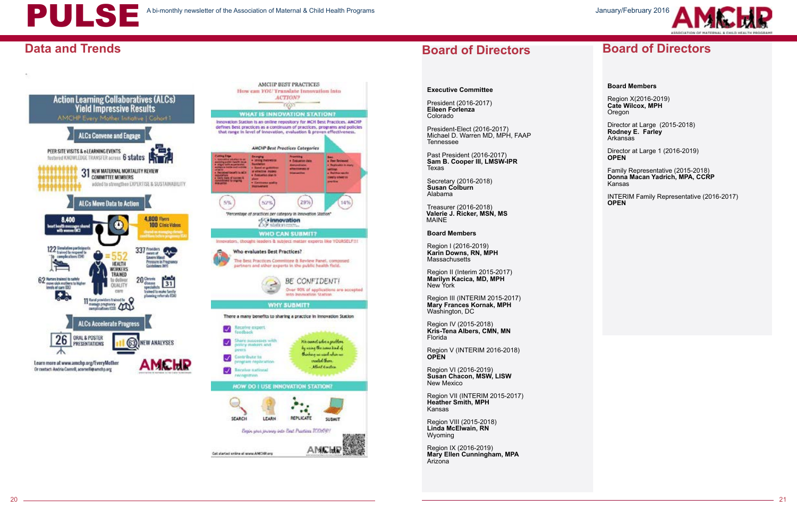

## **Data and Trends**





#### **Executive Committee**

President (2016-2017) **Eileen Forlenza**  Colorado

Region I (2016-2019) **Karin Downs, RN, MPH Massachusetts** 

President-Elect (2016-2017) Michael D. Warren MD, MPH, FAAP Tennessee

Past President (2016-2017) **Sam B. Cooper III, LMSW-IPR** Texas

Secretary (2016-2018) **Susan Colburn** Alabama

Treasurer (2016-2018) **Valerie J. Ricker, MSN, MS** MAINE

**Board Members**

Region IX (2016-2019) **Mary Ellen Cunningham, MPA Arizona** 

Region X(2016-2019) **Cate Wilcox, MPH Oregon** 

Region II (Interim 2015-2017) **Marilyn Kacica, MD, MPH** New York

Region III (INTERIM 2015-2017) **Mary Frances Kornak, MPH** Washington, DC

Region IV (2015-2018) **Kris-Tena Albers, CMN, MN** Florida

Region V (INTERIM 2016-2018) **OPEN**

Region VI (2016-2019) **Susan Chacon, MSW, LISW** New Mexico

Region VII (INTERIM 2015-2017) **Heather Smith, MPH**  Kansas

Region VIII (2015-2018) **Linda McElwain, RN**  Wyoming

## **Board of Directors**

#### **Board Members**

Director at Large (2015-2018) **Rodney E. Farley**  Arkansas

Director at Large 1 (2016-2019) **OPEN**

Family Representative (2015-2018) **Donna Macan Yadrich, MPA, CCRP** Kansas

INTERIM Family Representative (2016-2017) **OPEN**

## **Board of Directors**